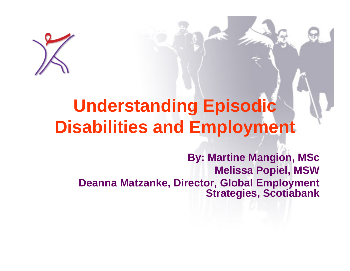

### **Understanding Episodic Disabilities and Employment**

**By: Martine Mangion, MSc Melissa Popiel, MSW Deanna Matzanke, Director, Global Employment Strategies, Scotiabank**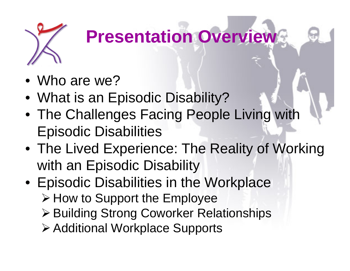

### **Presentation Overview**

- Who are we?
- What is an Episodic Disability?
- The Challenges Facing People Living with Episodic Disabilities
- The Lived Experience: The Reality of Working with an Episodic Disability
- Episodic Disabilities in the Workplace **≻ How to Support the Employee** 
	- Building Strong Coworker Relationships
	- Additional Workplace Supports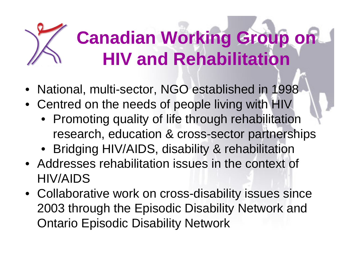## **Canadian Working Group on HIV and Rehabilitation**

- National, multi-sector, NGO established in 1998
- Centred on the needs of people living with HIV
	- Promoting quality of life through rehabilitation research, education & cross-sector partnerships
	- Bridging HIV/AIDS, disability & rehabilitation
- Addresses rehabilitation issues in the context of HIV/AIDS
- Collaborative work on cross-disability issues since 2003 through the Episodic Disability Network and Ontario Episodic Disability Network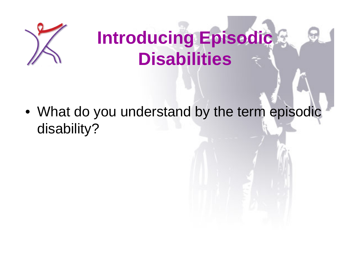

### **Introducing Episodic Disabilities**

• What do you understand by the term episodic disability?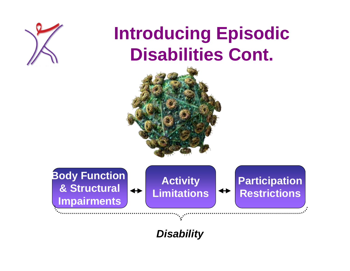

### **Introducing Episodic Disabilities Cont.**



**Body Function & Structural Impairments**

**Activity Limitations**

#### **Participation Restrictions**

*Disability*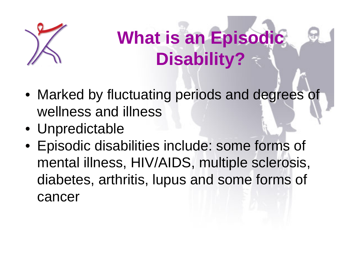

### **What is an Episodic Disability?**

- Marked by fluctuating periods and degrees of wellness and illness
- Unpredictable
- Episodic disabilities include: some forms of mental illness, HIV/AIDS, multiple sclerosis, diabetes, arthritis, lupus and some forms of cancer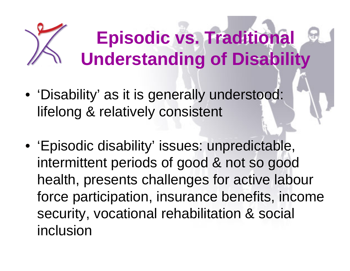# **Episodic vs. Traditional Understanding of Disability**

- 'Disability' as it is generally understood: lifelong & relatively consistent
- 'Episodic disability' issues: unpredictable, intermittent periods of good & not so good health, presents challenges for active labour force participation, insurance benefits, income security, vocational rehabilitation & social inclusion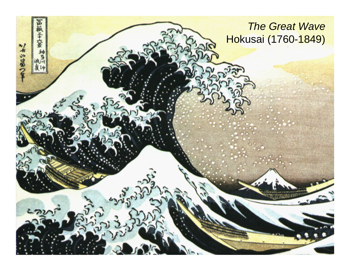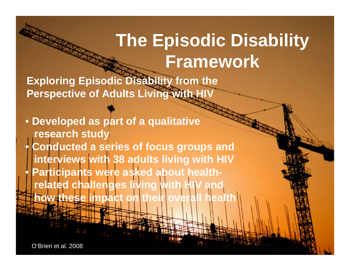### **The Episodic Disability Framework**

**Exploring Episodic Disability from the Perspective of Adults Living with HIV**

• **Developed as part of a qualitative research study**  $\bullet$  **Conducted a series of focus groups and interviews with 38 adults living with HIV** • **Participants were asked about healthrelated challenges living with H how these impact** 

O'Brien et al. 2008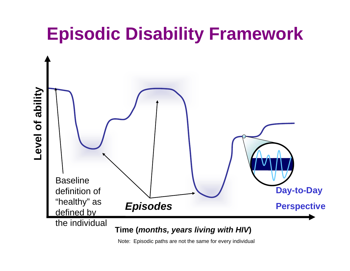### **Episodic Disability Framework**



Note: Episodic paths are not the same for every individual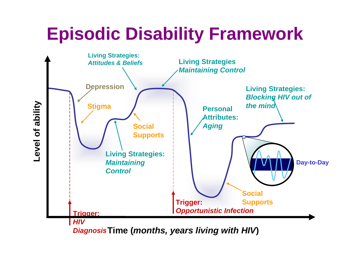### **Episodic Disability Framework**



**Time (***months, years living with HIV***)** *Diagnosis*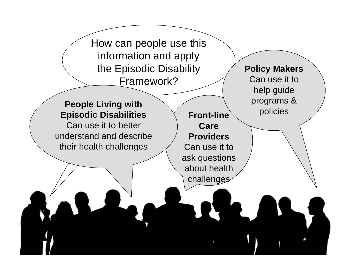How can people use this information and apply the Episodic Disability Framework?

### **People Living with Episodic Disabilities Cont-line** Prodicies

Can use it to better understand and describe their health challenges

**Front-line Care Providers**Can use it to ask questions about health challenges

**Policy Makers** Can use it to help guide programs &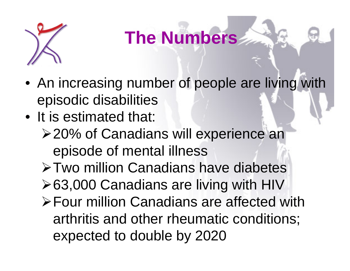

### **The Numbers**

- An increasing number of people are living with episodic disabilities
- It is estimated that:
	- **≻20% of Canadians will experience an** episode of mental illness
	- Two million Canadians have diabetes
	- **≻63,000 Canadians are living with HIV**
	- Four million Canadians are affected with arthritis and other rheumatic conditions; expected to double by 2020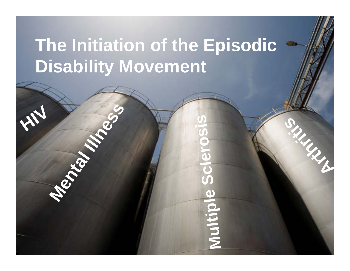### **The Initiation of the Episodic Disability Movement**

**Mental Islands** 

**HIV**

**Multiple Sc el ros si** Multipl

**Articles**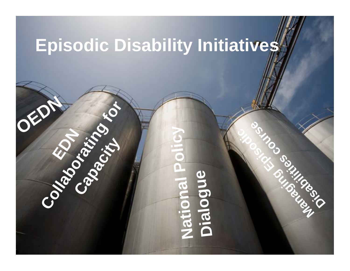### **Episodic Disability Initiatives**

 $\mathcal{E}$ 

**Collaboration Collaboration** 

#### **N ati o n a l Po l c i y D a i o l g u e OEDN**<br>Constanting Constanting Constanting Constanting Constanting Constanting Constanting Constanting Constanting Constanting Constanting Constanting Constanting Constanting Constanting Constanting Constanting Constanting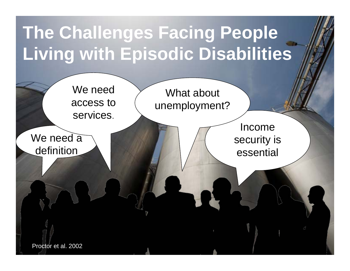### **The Challenges Facing People Living with Episodic Disabilities**

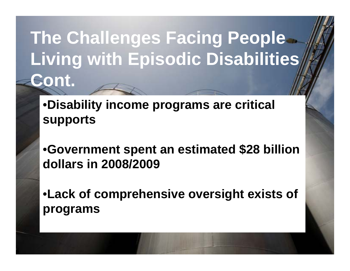### **The Challenges Facing People Living with Episodic Disabilities Cont.**

•**Disability income programs are critical supports**

•**Government spent an estimated \$28 billion dollars in 2008/2009**

•**Lack of comprehensive oversight exists of programs**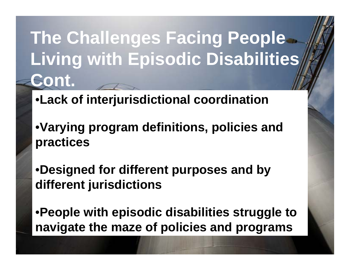### **The Challenges Facing People Living with Episodic Disabilities Cont.**

- •**Lack of interjurisdictional coordination**
- •**Varying program definitions, policies and practices**
- •**Designed for different purposes and by different jurisdictions**
- •**People with episodic disabilities struggle to navigate the maze of policies and programs**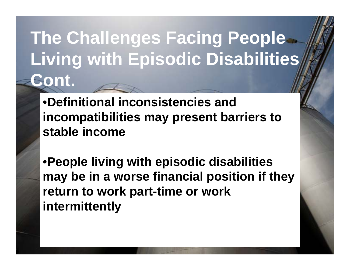### **The Challenges Facing People Living with Episodic Disabilities Cont.**

•**Definitional inconsistencies and incompatibilities may present barriers to stable income**

•**People living with episodic disabilities may be in a worse financial position if they return to work part-time or work intermittently**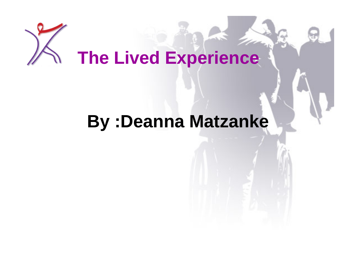# **The Lived Experience**

### **By :Deanna Matzanke**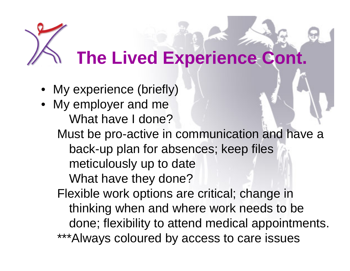### **The Lived Experience Cont.**

- My experience (briefly)
- My employer and me What have I done?Must be pro-active in communication and have a back-up plan for absences; keep files meticulously up to date What have they done?
	- Flexible work options are critical; change in thinking when and where work needs to be done; flexibility to attend medical appointments. \*\*\*Always coloured by access to care issues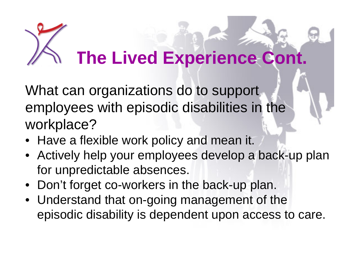# **The Lived Experience Cont.**

What can organizations do to support employees with episodic disabilities in the workplace?

- Have a flexible work policy and mean it.
- Actively help your employees develop a back-up plan for unpredictable absences.
- Don't forget co-workers in the back-up plan.
- Understand that on-going management of the episodic disability is dependent upon access to care.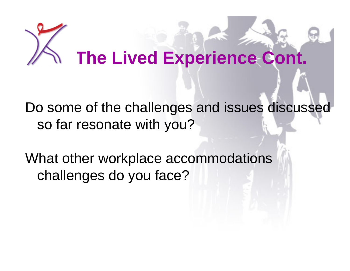# **The Lived Experience Cont.**

Do some of the challenges and issues discussed so far resonate with you?

What other workplace accommodations challenges do you face?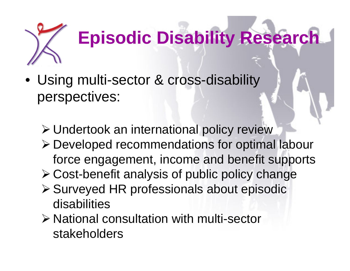

# **Episodic Disability Research**

- Using multi-sector & cross-disability perspectives:
	- Undertook an international policy review
	- Developed recommendations for optimal labour force engagement, income and benefit supports
	- Cost-benefit analysis of public policy change
	- Surveyed HR professionals about episodic disabilities
	- National consultation with multi-sector stakeholders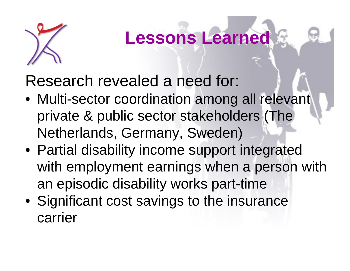

### **Lessons Learned**

Research revealed a need for:

- Multi-sector coordination among all relevant private & public sector stakeholders (The Netherlands, Germany, Sweden)
- Partial disability income support integrated with employment earnings when a person with an episodic disability works part-time
- Significant cost savings to the insurance carrier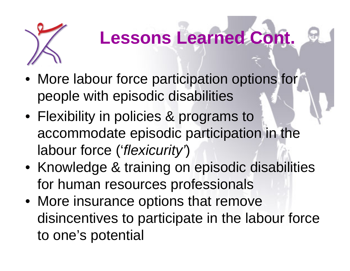

### **Lessons Learned Cont.**

- More labour force participation options for people with episodic disabilities
- Flexibility in policies & programs to accommodate episodic participation in the labour force ('*flexicurity'*)
- Knowledge & training on episodic disabilities for human resources professionals
- More insurance options that remove disincentives to participate in the labour force to one's potential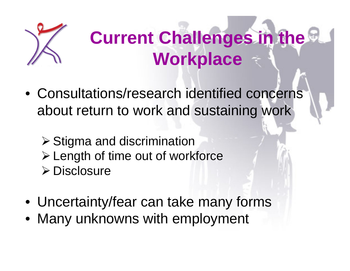

### **Current Challenges in the Workplace**

- Consultations/research identified concerns about return to work and sustaining work
	- $\triangleright$  Stigma and discrimination Length of time out of workforce **≻ Disclosure**
- Uncertainty/fear can take many forms
- Many unknowns with employment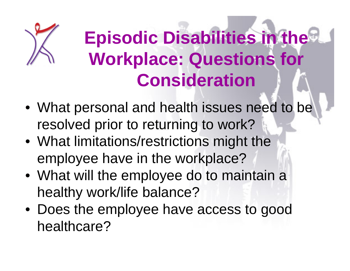

### **Episodic Disabilities in the Workplace: Questions for Consideration**

- What personal and health issues need to be resolved prior to returning to work?
- What limitations/restrictions might the employee have in the workplace?
- What will the employee do to maintain a healthy work/life balance?
- Does the employee have access to good healthcare?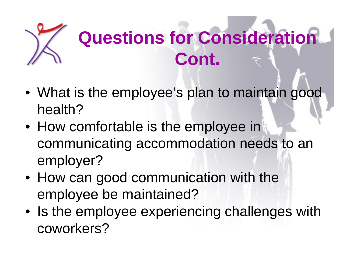

### **Questions for Consideration Cont.**

- What is the employee's plan to maintain good health?
- How comfortable is the employee in communicating accommodation needs to an employer?
- How can good communication with the employee be maintained?
- Is the employee experiencing challenges with coworkers?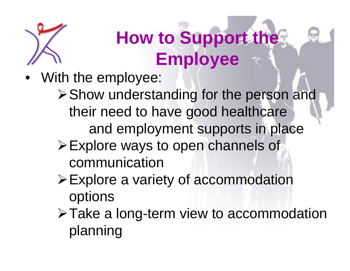

### **How to Support the Employee**

- With the employee:
	- **≻Show understanding for the person and** their need to have good healthcare and employment supports in place
	- Explore ways to open channels of communication
	- Explore a variety of accommodation options
	- Take a long-term view to accommodation planning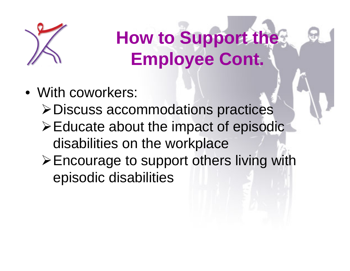

**How to Support the Employee Cont.**

- With coworkers:
	- Discuss accommodations practices
	- $\triangleright$  Educate about the impact of episodic disabilities on the workplace
	- Encourage to support others living with episodic disabilities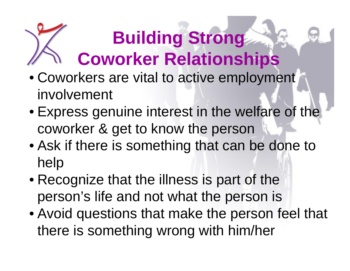# **Building Strong Coworker Relationships**

- Coworkers are vital to active employment involvement
- Express genuine interest in the welfare of the coworker & get to know the person
- Ask if there is something that can be done to help
- Recognize that the illness is part of the person's life and not what the person is
- Avoid questions that make the person feel that there is something wrong with him/her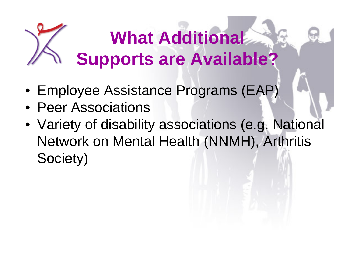# **What Additional Supports are Available?**

- Employee Assistance Programs (EAP)
- Peer Associations
- Variety of disability associations (e.g. National Network on Mental Health (NNMH), Arthritis Society)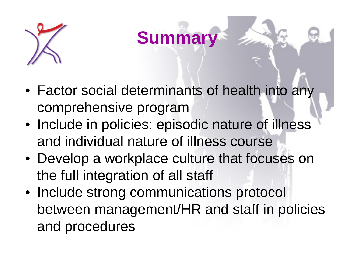

**Summary**

- Factor social determinants of health into any comprehensive program
- Include in policies: episodic nature of illness and individual nature of illness course
- Develop a workplace culture that focuses on the full integration of all staff
- Include strong communications protocol between management/HR and staff in policies and procedures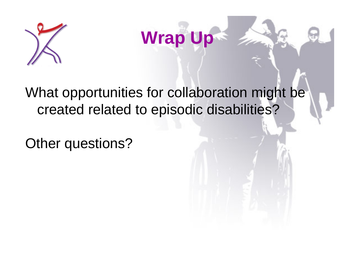



#### What opportunities for collaboration might be created related to episodic disabilities?

Other questions?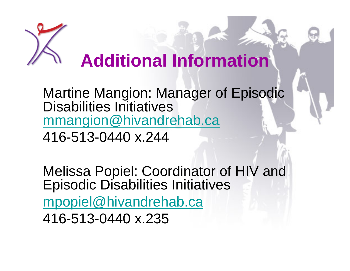

### **Additional Information**

Martine Mangion: Manager of Episodic Disabilities Initiatives [mmangion@hivandrehab.ca](mailto:mmangion@hivandrehab.ca)

416-513-0440 x.244

Melissa Popiel: Coordinator of HIV and Episodic Disabilities Initiatives [mpopiel@hivandrehab.ca](mailto:mpopiel@hivandrehab.ca) 416-513-0440 x.235